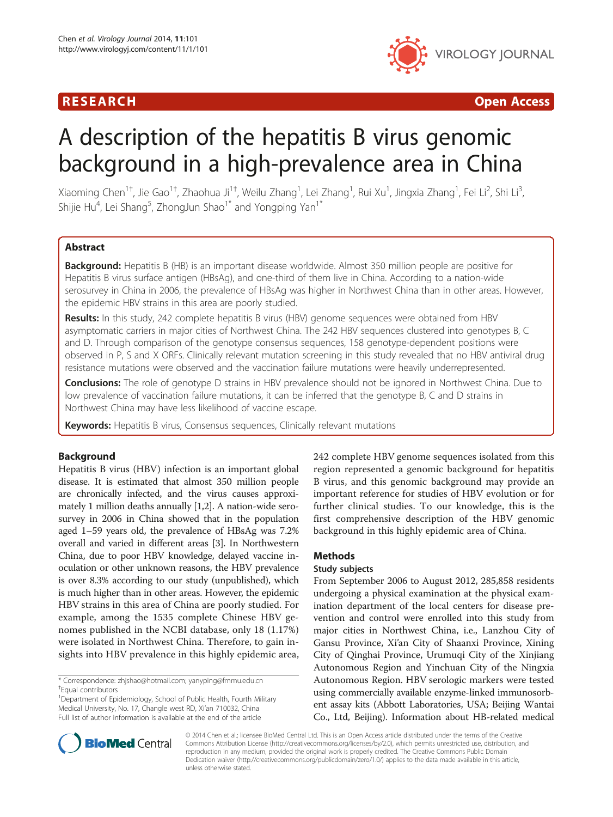## **RESEARCH CHINESE ARCH CHINESE ARCH CHINESE ARCH**



# A description of the hepatitis B virus genomic background in a high-prevalence area in China

Xiaoming Chen<sup>1†</sup>, Jie Gao<sup>1†</sup>, Zhaohua Ji<sup>1†</sup>, Weilu Zhang<sup>1</sup>, Lei Zhang<sup>1</sup>, Rui Xu<sup>1</sup>, Jingxia Zhang<sup>1</sup>, Fei Li<sup>2</sup>, Shi Li<sup>3</sup> , Shijie Hu<sup>4</sup>, Lei Shang<sup>5</sup>, ZhongJun Shao<sup>1\*</sup> and Yongping Yan<sup>1\*</sup>

## Abstract

Background: Hepatitis B (HB) is an important disease worldwide. Almost 350 million people are positive for Hepatitis B virus surface antigen (HBsAg), and one-third of them live in China. According to a nation-wide serosurvey in China in 2006, the prevalence of HBsAg was higher in Northwest China than in other areas. However, the epidemic HBV strains in this area are poorly studied.

Results: In this study, 242 complete hepatitis B virus (HBV) genome sequences were obtained from HBV asymptomatic carriers in major cities of Northwest China. The 242 HBV sequences clustered into genotypes B, C and D. Through comparison of the genotype consensus sequences, 158 genotype-dependent positions were observed in P, S and X ORFs. Clinically relevant mutation screening in this study revealed that no HBV antiviral drug resistance mutations were observed and the vaccination failure mutations were heavily underrepresented.

**Conclusions:** The role of genotype D strains in HBV prevalence should not be ignored in Northwest China. Due to low prevalence of vaccination failure mutations, it can be inferred that the genotype B, C and D strains in Northwest China may have less likelihood of vaccine escape.

Keywords: Hepatitis B virus, Consensus sequences, Clinically relevant mutations

## Background

Hepatitis B virus (HBV) infection is an important global disease. It is estimated that almost 350 million people are chronically infected, and the virus causes approximately 1 million deaths annually [[1,2](#page-6-0)]. A nation-wide serosurvey in 2006 in China showed that in the population aged 1–59 years old, the prevalence of HBsAg was 7.2% overall and varied in different areas [\[3](#page-6-0)]. In Northwestern China, due to poor HBV knowledge, delayed vaccine inoculation or other unknown reasons, the HBV prevalence is over 8.3% according to our study (unpublished), which is much higher than in other areas. However, the epidemic HBV strains in this area of China are poorly studied. For example, among the 1535 complete Chinese HBV genomes published in the NCBI database, only 18 (1.17%) were isolated in Northwest China. Therefore, to gain insights into HBV prevalence in this highly epidemic area,

\* Correspondence: [zhjshao@hotmail.com;](mailto:zhjshao@hotmail.com) [yanyping@fmmu.edu.cn](mailto:yanyping@fmmu.edu.cn) † Equal contributors

<sup>1</sup>Department of Epidemiology, School of Public Health, Fourth Military Medical University, No. 17, Changle west RD, Xi'an 710032, China Full list of author information is available at the end of the article

242 complete HBV genome sequences isolated from this region represented a genomic background for hepatitis B virus, and this genomic background may provide an important reference for studies of HBV evolution or for further clinical studies. To our knowledge, this is the first comprehensive description of the HBV genomic background in this highly epidemic area of China.

## **Methods**

#### Study subjects

From September 2006 to August 2012, 285,858 residents undergoing a physical examination at the physical examination department of the local centers for disease prevention and control were enrolled into this study from major cities in Northwest China, i.e., Lanzhou City of Gansu Province, Xi'an City of Shaanxi Province, Xining City of Qinghai Province, Urumuqi City of the Xinjiang Autonomous Region and Yinchuan City of the Ningxia Autonomous Region. HBV serologic markers were tested using commercially available enzyme-linked immunosorbent assay kits (Abbott Laboratories, USA; Beijing Wantai Co., Ltd, Beijing). Information about HB-related medical



© 2014 Chen et al.; licensee BioMed Central Ltd. This is an Open Access article distributed under the terms of the Creative Commons Attribution License [\(http://creativecommons.org/licenses/by/2.0\)](http://creativecommons.org/licenses/by/2.0), which permits unrestricted use, distribution, and reproduction in any medium, provided the original work is properly credited. The Creative Commons Public Domain Dedication waiver [\(http://creativecommons.org/publicdomain/zero/1.0/](http://creativecommons.org/publicdomain/zero/1.0/)) applies to the data made available in this article, unless otherwise stated.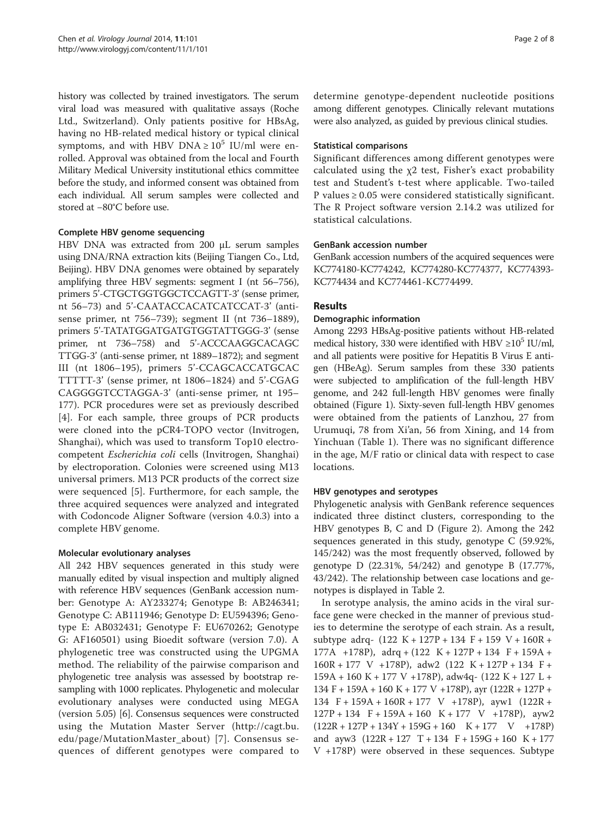history was collected by trained investigators. The serum viral load was measured with qualitative assays (Roche Ltd., Switzerland). Only patients positive for HBsAg, having no HB-related medical history or typical clinical symptoms, and with HBV DNA  $\geq 10^5$  IU/ml were enrolled. Approval was obtained from the local and Fourth Military Medical University institutional ethics committee before the study, and informed consent was obtained from each individual. All serum samples were collected and stored at −80°C before use.

#### Complete HBV genome sequencing

HBV DNA was extracted from 200 μL serum samples using DNA/RNA extraction kits (Beijing Tiangen Co., Ltd, Beijing). HBV DNA genomes were obtained by separately amplifying three HBV segments: segment I (nt 56–756), primers 5'-CTGCTGGTGGCTCCAGTT-3' (sense primer, nt 56–73) and 5'-CAATACCACATCATCCAT-3' (antisense primer, nt 756–739); segment II (nt 736–1889), primers 5'-TATATGGATGATGTGGTATTGGG-3' (sense primer, nt 736–758) and 5'-ACCCAAGGCACAGC TTGG-3' (anti-sense primer, nt 1889–1872); and segment III (nt 1806–195), primers 5'-CCAGCACCATGCAC TTTTT-3' (sense primer, nt 1806–1824) and 5'-CGAG CAGGGGTCCTAGGA-3' (anti-sense primer, nt 195– 177). PCR procedures were set as previously described [[4\]](#page-6-0). For each sample, three groups of PCR products were cloned into the pCR4-TOPO vector (Invitrogen, Shanghai), which was used to transform Top10 electrocompetent Escherichia coli cells (Invitrogen, Shanghai) by electroporation. Colonies were screened using M13 universal primers. M13 PCR products of the correct size were sequenced [[5\]](#page-6-0). Furthermore, for each sample, the three acquired sequences were analyzed and integrated with Codoncode Aligner Software (version 4.0.3) into a complete HBV genome.

#### Molecular evolutionary analyses

All 242 HBV sequences generated in this study were manually edited by visual inspection and multiply aligned with reference HBV sequences (GenBank accession number: Genotype A: AY233274; Genotype B: AB246341; Genotype C: AB111946; Genotype D: EU594396; Genotype E: AB032431; Genotype F: EU670262; Genotype G: AF160501) using Bioedit software (version 7.0). A phylogenetic tree was constructed using the UPGMA method. The reliability of the pairwise comparison and phylogenetic tree analysis was assessed by bootstrap resampling with 1000 replicates. Phylogenetic and molecular evolutionary analyses were conducted using MEGA (version 5.05) [\[6\]](#page-6-0). Consensus sequences were constructed using the Mutation Master Server ([http://cagt.bu.](http://cagt.bu.edu/page/MutationMaster_about) [edu/page/MutationMaster\\_about\)](http://cagt.bu.edu/page/MutationMaster_about) [[7](#page-6-0)]. Consensus sequences of different genotypes were compared to determine genotype-dependent nucleotide positions among different genotypes. Clinically relevant mutations were also analyzed, as guided by previous clinical studies.

#### Statistical comparisons

Significant differences among different genotypes were calculated using the χ2 test, Fisher's exact probability test and Student's t-test where applicable. Two-tailed P values ≥ 0.05 were considered statistically significant. The R Project software version 2.14.2 was utilized for statistical calculations.

#### GenBank accession number

GenBank accession numbers of the acquired sequences were KC774180-KC774242, KC774280-KC774377, KC774393- KC774434 and KC774461-KC774499.

## Results

#### Demographic information

Among 2293 HBsAg-positive patients without HB-related medical history, 330 were identified with HBV ≥10<sup>5</sup> IU/ml, and all patients were positive for Hepatitis B Virus E antigen (HBeAg). Serum samples from these 330 patients were subjected to amplification of the full-length HBV genome, and 242 full-length HBV genomes were finally obtained (Figure [1](#page-2-0)). Sixty-seven full-length HBV genomes were obtained from the patients of Lanzhou, 27 from Urumuqi, 78 from Xi'an, 56 from Xining, and 14 from Yinchuan (Table [1\)](#page-2-0). There was no significant difference in the age, M/F ratio or clinical data with respect to case locations.

## HBV genotypes and serotypes

Phylogenetic analysis with GenBank reference sequences indicated three distinct clusters, corresponding to the HBV genotypes B, C and D (Figure [2](#page-3-0)). Among the 242 sequences generated in this study, genotype C (59.92%, 145/242) was the most frequently observed, followed by genotype D (22.31%, 54/242) and genotype B (17.77%, 43/242). The relationship between case locations and genotypes is displayed in Table [2.](#page-3-0)

In serotype analysis, the amino acids in the viral surface gene were checked in the manner of previous studies to determine the serotype of each strain. As a result, subtype adrq- (122 K + 127P + 134 F + 159 V + 160R +  $177A + 178P$ ,  $adrq + (122 K + 127P + 134 F + 159A +$ 160R + 177 V +178P), adw2 (122 K + 127P + 134 F + 159A + 160 K + 177 V +178P), adw4q- (122 K + 127 L + 134 F + 159A + 160 K + 177 V +178P), ayr (122R + 127P + 134 F + 159A + 160R + 177 V +178P), ayw1 (122R + 127P + 134 F + 159A + 160 K + 177 V +178P), ayw2  $(122R + 127P + 134Y + 159G + 160K + 177V + 178P)$ and ayw3  $(122R + 127 T + 134 F + 159G + 160 K + 177$ V +178P) were observed in these sequences. Subtype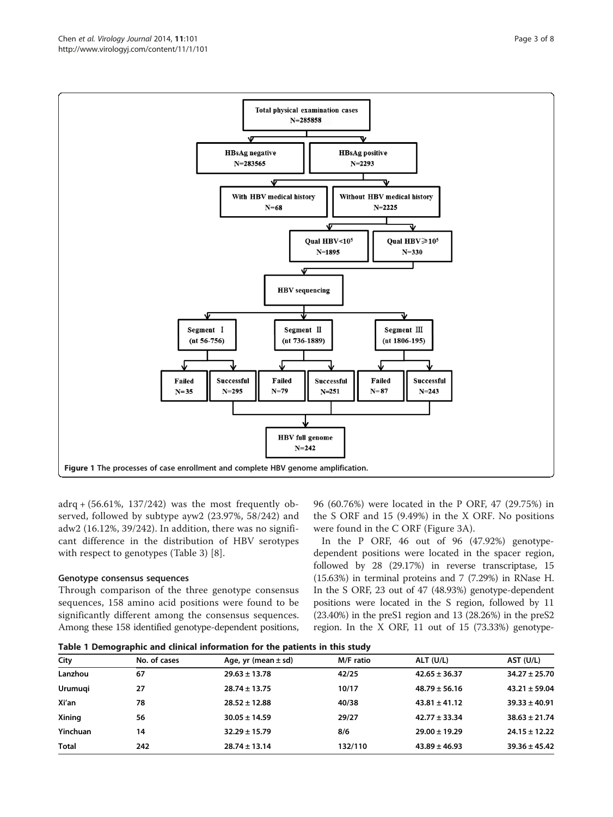<span id="page-2-0"></span>

 $adrq + (56.61\%, 137/242)$  was the most frequently observed, followed by subtype ayw2 (23.97%, 58/242) and adw2 (16.12%, 39/242). In addition, there was no significant difference in the distribution of HBV serotypes with respect to genotypes (Table [3\)](#page-4-0) [\[8](#page-7-0)].

## Genotype consensus sequences

Through comparison of the three genotype consensus sequences, 158 amino acid positions were found to be significantly different among the consensus sequences. Among these 158 identified genotype-dependent positions, 96 (60.76%) were located in the P ORF, 47 (29.75%) in the S ORF and 15 (9.49%) in the X ORF. No positions were found in the C ORF (Figure [3](#page-5-0)A).

In the P ORF, 46 out of 96 (47.92%) genotypedependent positions were located in the spacer region, followed by 28 (29.17%) in reverse transcriptase, 15 (15.63%) in terminal proteins and 7 (7.29%) in RNase H. In the S ORF, 23 out of 47 (48.93%) genotype-dependent positions were located in the S region, followed by 11 (23.40%) in the preS1 region and 13 (28.26%) in the preS2 region. In the X ORF, 11 out of 15 (73.33%) genotype-

Table 1 Demographic and clinical information for the patients in this study

| City         | No. of cases | Age, yr (mean $\pm$ sd) | M/F ratio | ALT (U/L)         | AST (U/L)         |
|--------------|--------------|-------------------------|-----------|-------------------|-------------------|
| Lanzhou      | 67           | $29.63 \pm 13.78$       | 42/25     | $42.65 \pm 36.37$ | $34.27 \pm 25.70$ |
| Urumuqi      | 27           | $28.74 \pm 13.75$       | 10/17     | $48.79 \pm 56.16$ | $43.21 \pm 59.04$ |
| Xi'an        | 78           | $28.52 \pm 12.88$       | 40/38     | $43.81 \pm 41.12$ | $39.33 \pm 40.91$ |
| Xining       | 56           | $30.05 \pm 14.59$       | 29/27     | $42.77 \pm 33.34$ | $38.63 \pm 21.74$ |
| Yinchuan     | 14           | $32.29 \pm 15.79$       | 8/6       | $29.00 \pm 19.29$ | $24.15 \pm 12.22$ |
| <b>Total</b> | 242          | $28.74 \pm 13.14$       | 132/110   | $43.89 \pm 46.93$ | $39.36 \pm 45.42$ |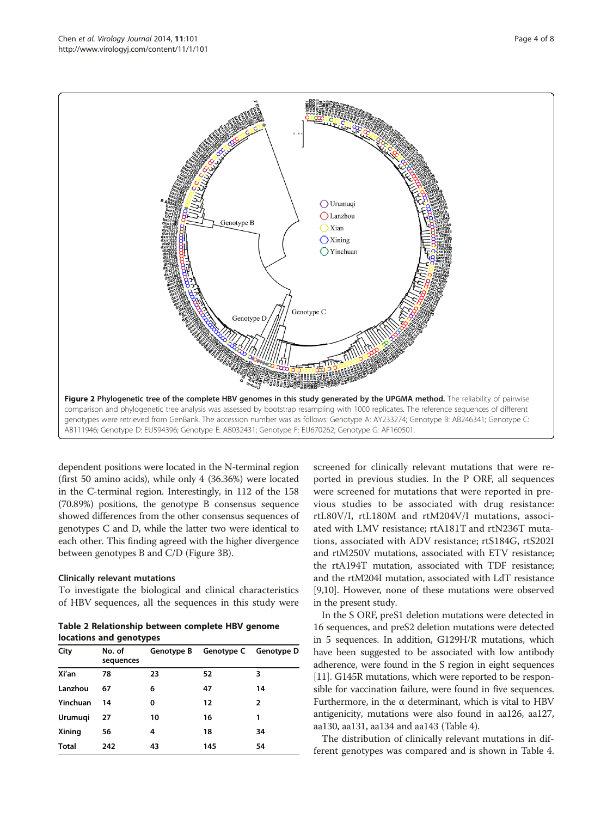<span id="page-3-0"></span>

dependent positions were located in the N-terminal region (first 50 amino acids), while only 4 (36.36%) were located in the C-terminal region. Interestingly, in 112 of the 158 (70.89%) positions, the genotype B consensus sequence showed differences from the other consensus sequences of genotypes C and D, while the latter two were identical to each other. This finding agreed with the higher divergence between genotypes B and C/D (Figure [3](#page-5-0)B).

#### Clinically relevant mutations

To investigate the biological and clinical characteristics of HBV sequences, all the sequences in this study were

Table 2 Relationship between complete HBV genome locations and genotypes

| City         | No. of<br>sequences | Genotype B |     | Genotype C Genotype D |
|--------------|---------------------|------------|-----|-----------------------|
| Xi'an        | 78                  | 23         | 52  | 3                     |
| Lanzhou      | 67                  | 6          | 47  | 14                    |
| Yinchuan     | 14                  | 0          | 12  | $\overline{2}$        |
| Urumugi      | 27                  | 10         | 16  | 1                     |
| Xining       | 56                  | 4          | 18  | 34                    |
| <b>Total</b> | 242                 | 43         | 145 | 54                    |

screened for clinically relevant mutations that were reported in previous studies. In the P ORF, all sequences were screened for mutations that were reported in previous studies to be associated with drug resistance: rtL80V/I, rtL180M and rtM204V/I mutations, associated with LMV resistance; rtA181T and rtN236T mutations, associated with ADV resistance; rtS184G, rtS202I and rtM250V mutations, associated with ETV resistance; the rtA194T mutation, associated with TDF resistance; and the rtM204I mutation, associated with LdT resistance [[9,10](#page-7-0)]. However, none of these mutations were observed in the present study.

In the S ORF, preS1 deletion mutations were detected in 16 sequences, and preS2 deletion mutations were detected in 5 sequences. In addition, G129H/R mutations, which have been suggested to be associated with low antibody adherence, were found in the S region in eight sequences [[11](#page-7-0)]. G145R mutations, which were reported to be responsible for vaccination failure, were found in five sequences. Furthermore, in the  $\alpha$  determinant, which is vital to HBV antigenicity, mutations were also found in aa126, aa127, aa130, aa131, aa134 and aa143 (Table [4](#page-6-0)).

The distribution of clinically relevant mutations in different genotypes was compared and is shown in Table [4](#page-6-0).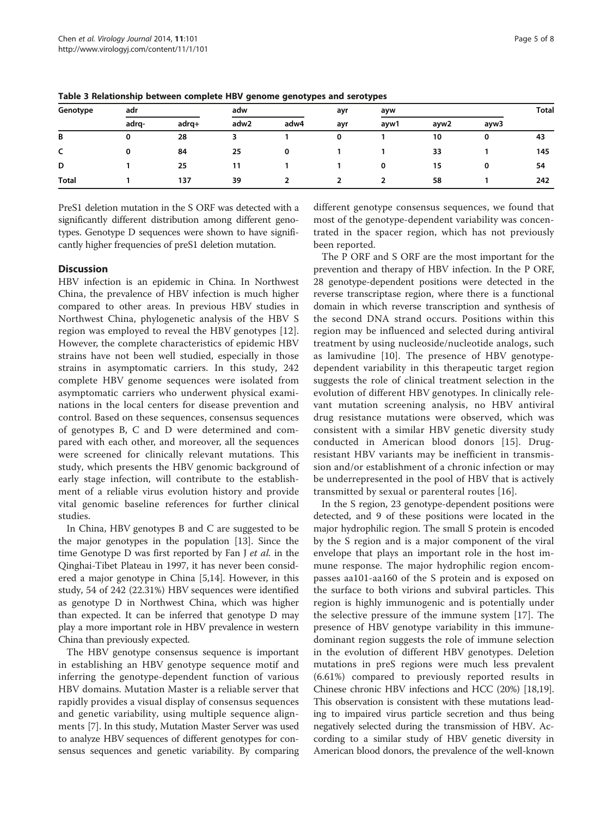| Genotype     | adr   |       | adw  |      | ayr | ayw  |      |      | Total |
|--------------|-------|-------|------|------|-----|------|------|------|-------|
|              | adrq- | adrg+ | adw2 | adw4 | ayr | ayw1 | ayw2 | ayw3 |       |
| В            | 0     | 28    |      |      | 0   |      | 10   | 0    | 43    |
| c            | 0     | 84    | 25   | 0    |     |      | 33   |      | 145   |
| D            |       | 25    | 11   |      |     | 0    | 15   | 0    | 54    |
| <b>Total</b> |       | 137   | 39   |      |     |      | 58   |      | 242   |

<span id="page-4-0"></span>Table 3 Relationship between complete HBV genome genotypes and serotypes

PreS1 deletion mutation in the S ORF was detected with a significantly different distribution among different genotypes. Genotype D sequences were shown to have significantly higher frequencies of preS1 deletion mutation.

#### **Discussion**

HBV infection is an epidemic in China. In Northwest China, the prevalence of HBV infection is much higher compared to other areas. In previous HBV studies in Northwest China, phylogenetic analysis of the HBV S region was employed to reveal the HBV genotypes [[12](#page-7-0)]. However, the complete characteristics of epidemic HBV strains have not been well studied, especially in those strains in asymptomatic carriers. In this study, 242 complete HBV genome sequences were isolated from asymptomatic carriers who underwent physical examinations in the local centers for disease prevention and control. Based on these sequences, consensus sequences of genotypes B, C and D were determined and compared with each other, and moreover, all the sequences were screened for clinically relevant mutations. This study, which presents the HBV genomic background of early stage infection, will contribute to the establishment of a reliable virus evolution history and provide vital genomic baseline references for further clinical studies.

In China, HBV genotypes B and C are suggested to be the major genotypes in the population [\[13\]](#page-7-0). Since the time Genotype D was first reported by Fan J et al. in the Qinghai-Tibet Plateau in 1997, it has never been considered a major genotype in China [[5,](#page-6-0)[14\]](#page-7-0). However, in this study, 54 of 242 (22.31%) HBV sequences were identified as genotype D in Northwest China, which was higher than expected. It can be inferred that genotype D may play a more important role in HBV prevalence in western China than previously expected.

The HBV genotype consensus sequence is important in establishing an HBV genotype sequence motif and inferring the genotype-dependent function of various HBV domains. Mutation Master is a reliable server that rapidly provides a visual display of consensus sequences and genetic variability, using multiple sequence alignments [\[7](#page-6-0)]. In this study, Mutation Master Server was used to analyze HBV sequences of different genotypes for consensus sequences and genetic variability. By comparing

different genotype consensus sequences, we found that most of the genotype-dependent variability was concentrated in the spacer region, which has not previously been reported.

The P ORF and S ORF are the most important for the prevention and therapy of HBV infection. In the P ORF, 28 genotype-dependent positions were detected in the reverse transcriptase region, where there is a functional domain in which reverse transcription and synthesis of the second DNA strand occurs. Positions within this region may be influenced and selected during antiviral treatment by using nucleoside/nucleotide analogs, such as lamivudine [[10\]](#page-7-0). The presence of HBV genotypedependent variability in this therapeutic target region suggests the role of clinical treatment selection in the evolution of different HBV genotypes. In clinically relevant mutation screening analysis, no HBV antiviral drug resistance mutations were observed, which was consistent with a similar HBV genetic diversity study conducted in American blood donors [[15\]](#page-7-0). Drugresistant HBV variants may be inefficient in transmission and/or establishment of a chronic infection or may be underrepresented in the pool of HBV that is actively transmitted by sexual or parenteral routes [[16\]](#page-7-0).

In the S region, 23 genotype-dependent positions were detected, and 9 of these positions were located in the major hydrophilic region. The small S protein is encoded by the S region and is a major component of the viral envelope that plays an important role in the host immune response. The major hydrophilic region encompasses aa101-aa160 of the S protein and is exposed on the surface to both virions and subviral particles. This region is highly immunogenic and is potentially under the selective pressure of the immune system [[17\]](#page-7-0). The presence of HBV genotype variability in this immunedominant region suggests the role of immune selection in the evolution of different HBV genotypes. Deletion mutations in preS regions were much less prevalent (6.61%) compared to previously reported results in Chinese chronic HBV infections and HCC (20%) [\[18,19](#page-7-0)]. This observation is consistent with these mutations leading to impaired virus particle secretion and thus being negatively selected during the transmission of HBV. According to a similar study of HBV genetic diversity in American blood donors, the prevalence of the well-known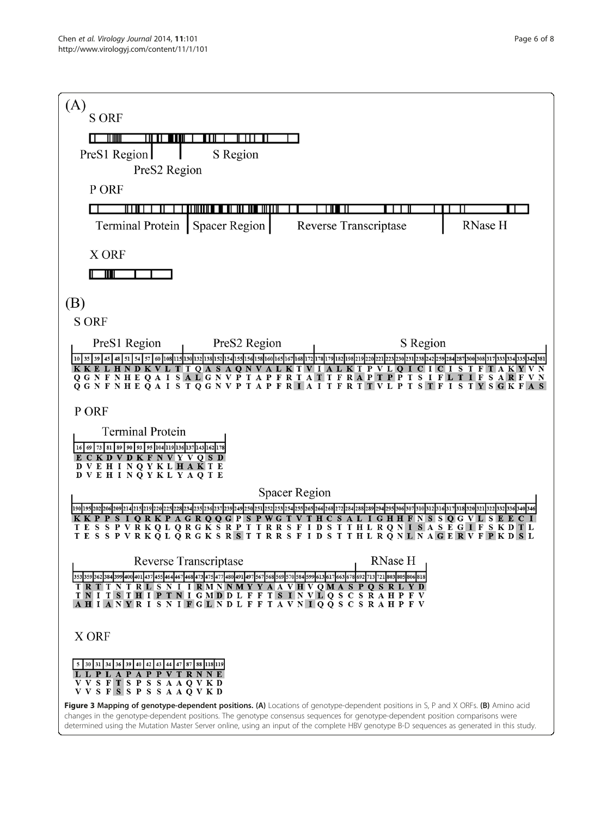<span id="page-5-0"></span>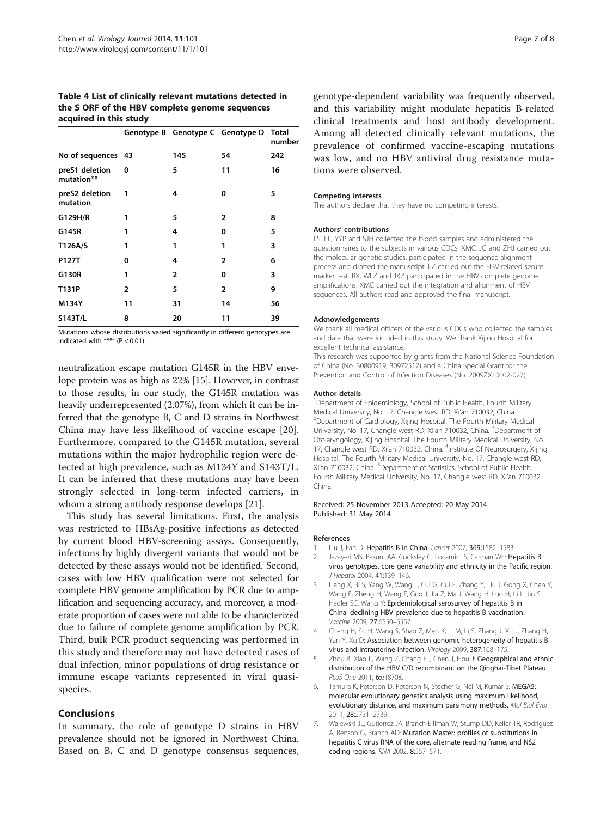<span id="page-6-0"></span>Table 4 List of clinically relevant mutations detected in the S ORF of the HBV complete genome sequences acquired in this study

|                              |    |     | Genotype B Genotype C Genotype D Total | number |
|------------------------------|----|-----|----------------------------------------|--------|
| No of sequences              | 43 | 145 | 54                                     | 242    |
| preS1 deletion<br>mutation** | 0  | 5   | 11                                     | 16     |
| preS2 deletion<br>mutation   | 1  | 4   | 0                                      | 5      |
| G129H/R                      | 1  | 5   | $\overline{2}$                         | 8      |
| G145R                        | 1  | 4   | 0                                      | 5      |
| T126A/S                      | 1  | 1   | 1                                      | 3      |
| <b>P127T</b>                 | 0  | 4   | $\overline{2}$                         | 6      |
| G130R                        | 1  | 2   | 0                                      | 3      |
| T131P                        | 2  | 5   | $\overline{2}$                         | 9      |
| M134Y                        | 11 | 31  | 14                                     | 56     |
| S143T/L                      | 8  | 20  | 11                                     | 39     |

Mutations whose distributions varied significantly in different genotypes are indicated with  $H$ \*\*" (P < 0.01).

neutralization escape mutation G145R in the HBV envelope protein was as high as 22% [[15\]](#page-7-0). However, in contrast to those results, in our study, the G145R mutation was heavily underrepresented (2.07%), from which it can be inferred that the genotype B, C and D strains in Northwest China may have less likelihood of vaccine escape [[20](#page-7-0)]. Furthermore, compared to the G145R mutation, several mutations within the major hydrophilic region were detected at high prevalence, such as M134Y and S143T/L. It can be inferred that these mutations may have been strongly selected in long-term infected carriers, in whom a strong antibody response develops [[21\]](#page-7-0).

This study has several limitations. First, the analysis was restricted to HBsAg-positive infections as detected by current blood HBV-screening assays. Consequently, infections by highly divergent variants that would not be detected by these assays would not be identified. Second, cases with low HBV qualification were not selected for complete HBV genome amplification by PCR due to amplification and sequencing accuracy, and moreover, a moderate proportion of cases were not able to be characterized due to failure of complete genome amplification by PCR. Third, bulk PCR product sequencing was performed in this study and therefore may not have detected cases of dual infection, minor populations of drug resistance or immune escape variants represented in viral quasispecies.

## Conclusions

In summary, the role of genotype D strains in HBV prevalence should not be ignored in Northwest China. Based on B, C and D genotype consensus sequences, genotype-dependent variability was frequently observed, and this variability might modulate hepatitis B-related clinical treatments and host antibody development. Among all detected clinically relevant mutations, the prevalence of confirmed vaccine-escaping mutations was low, and no HBV antiviral drug resistance mutations were observed.

#### Competing interests

The authors declare that they have no competing interests.

#### Authors' contributions

LS, FL, YYP and SJH collected the blood samples and administered the questionnaires to the subjects in various CDCs. XMC, JG and ZHJ carried out the molecular genetic studies, participated in the sequence alignment process and drafted the manuscript. LZ carried out the HBV-related serum marker test. RX, WLZ and JXZ participated in the HBV complete genome amplifications. XMC carried out the integration and alignment of HBV sequences. All authors read and approved the final manuscript.

#### Acknowledgements

We thank all medical officers of the various CDCs who collected the samples and data that were included in this study. We thank Xijing Hospital for excellent technical assistance.

This research was supported by grants from the National Science Foundation of China (No. 30800919, 30972517) and a China Special Grant for the Prevention and Control of Infection Diseases (No. 2009ZX10002-027).

#### Author details

<sup>1</sup>Department of Epidemiology, School of Public Health, Fourth Military Medical University, No. 17, Changle west RD, Xi'an 710032, China. <sup>2</sup> <sup>2</sup>Department of Cardiology, Xijing Hospital, The Fourth Military Medical University, No. 17, Changle west RD, Xi'an 710032, China. <sup>3</sup>Department of Otolaryngology, Xijing Hospital, The Fourth Military Medical University, No. 17, Changle west RD, Xi'an 710032, China. <sup>4</sup>Institute Of Neurosurgery, Xijing Hospital, The Fourth Military Medical University, No. 17, Changle west RD, Xi'an 710032, China. <sup>5</sup>Department of Statistics, School of Public Health Fourth Military Medical University, No. 17, Changle west RD, Xi'an 710032, China.

#### Received: 25 November 2013 Accepted: 20 May 2014 Published: 31 May 2014

#### References

- 1. Liu J, Fan D: Hepatitis B in China. Lancet 2007, 369:1582-1583.
- 2. Jazayeri MS, Basuni AA, Cooksley G, Locarnini S, Carman WF: Hepatitis B virus genotypes, core gene variability and ethnicity in the Pacific region. J Hepatol 2004, 41:139–146.
- 3. Liang X, Bi S, Yang W, Wang L, Cui G, Cui F, Zhang Y, Liu J, Gong X, Chen Y, Wang F, Zheng H, Wang F, Guo J, Jia Z, Ma J, Wang H, Luo H, Li L, Jin S, Hadler SC, Wang Y: Epidemiological serosurvey of hepatitis B in China–declining HBV prevalence due to hepatitis B vaccination. Vaccine 2009, 27:6550–6557.
- 4. Cheng H, Su H, Wang S, Shao Z, Men K, Li M, Li S, Zhang J, Xu J, Zhang H, Yan Y, Xu D: Association between genomic heterogeneity of hepatitis B virus and intrauterine infection. Virology 2009, 387:168–175.
- 5. Zhou B, Xiao L, Wang Z, Chang ET, Chen J, Hou J: Geographical and ethnic distribution of the HBV C/D recombinant on the Qinghai-Tibet Plateau. PLoS One 2011, 6:e18708.
- 6. Tamura K, Peterson D, Peterson N, Stecher G, Nei M, Kumar S: MEGA5: molecular evolutionary genetics analysis using maximum likelihood, evolutionary distance, and maximum parsimony methods. Mol Biol Evol 2011, 28:2731–2739.
- 7. Walewski JL, Gutierrez JA, Branch-Elliman W, Stump DD, Keller TR, Rodriguez A, Benson G, Branch AD: Mutation Master: profiles of substitutions in hepatitis C virus RNA of the core, alternate reading frame, and NS2 coding regions. RNA 2002, 8:557–571.